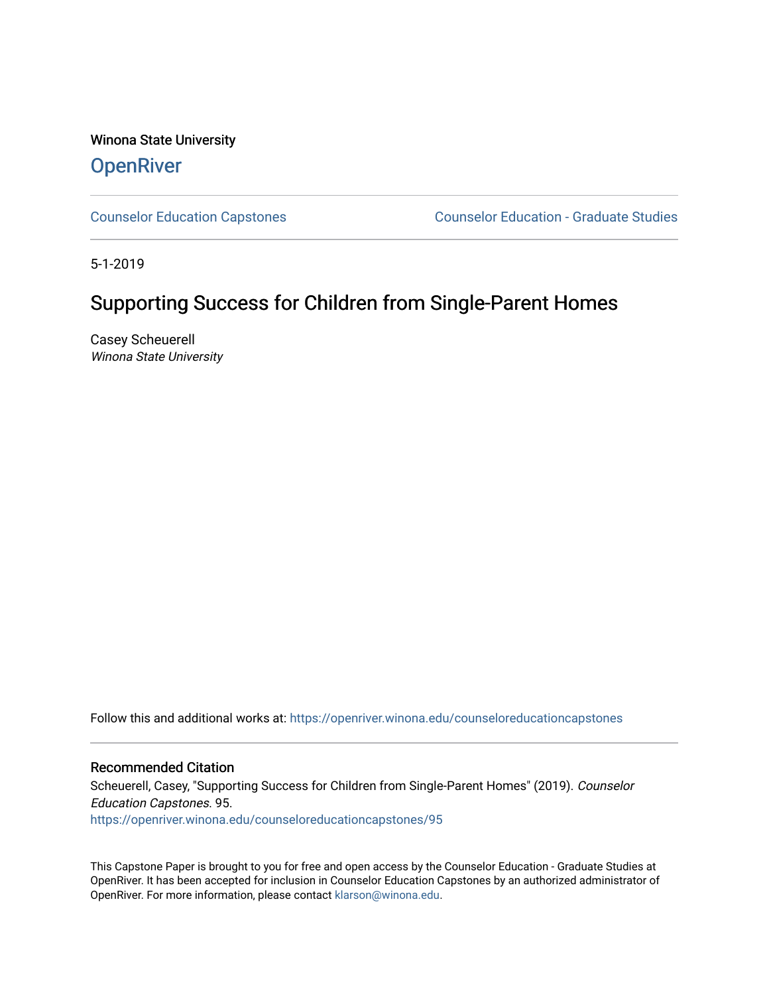Winona State University **OpenRiver** 

[Counselor Education Capstones](https://openriver.winona.edu/counseloreducationcapstones) [Counselor Education - Graduate Studies](https://openriver.winona.edu/counseloreducation) 

5-1-2019

# Supporting Success for Children from Single-Parent Homes

Casey Scheuerell Winona State University

Follow this and additional works at: [https://openriver.winona.edu/counseloreducationcapstones](https://openriver.winona.edu/counseloreducationcapstones?utm_source=openriver.winona.edu%2Fcounseloreducationcapstones%2F95&utm_medium=PDF&utm_campaign=PDFCoverPages)

#### Recommended Citation

Scheuerell, Casey, "Supporting Success for Children from Single-Parent Homes" (2019). Counselor Education Capstones. 95.

[https://openriver.winona.edu/counseloreducationcapstones/95](https://openriver.winona.edu/counseloreducationcapstones/95?utm_source=openriver.winona.edu%2Fcounseloreducationcapstones%2F95&utm_medium=PDF&utm_campaign=PDFCoverPages) 

This Capstone Paper is brought to you for free and open access by the Counselor Education - Graduate Studies at OpenRiver. It has been accepted for inclusion in Counselor Education Capstones by an authorized administrator of OpenRiver. For more information, please contact [klarson@winona.edu](mailto:klarson@winona.edu).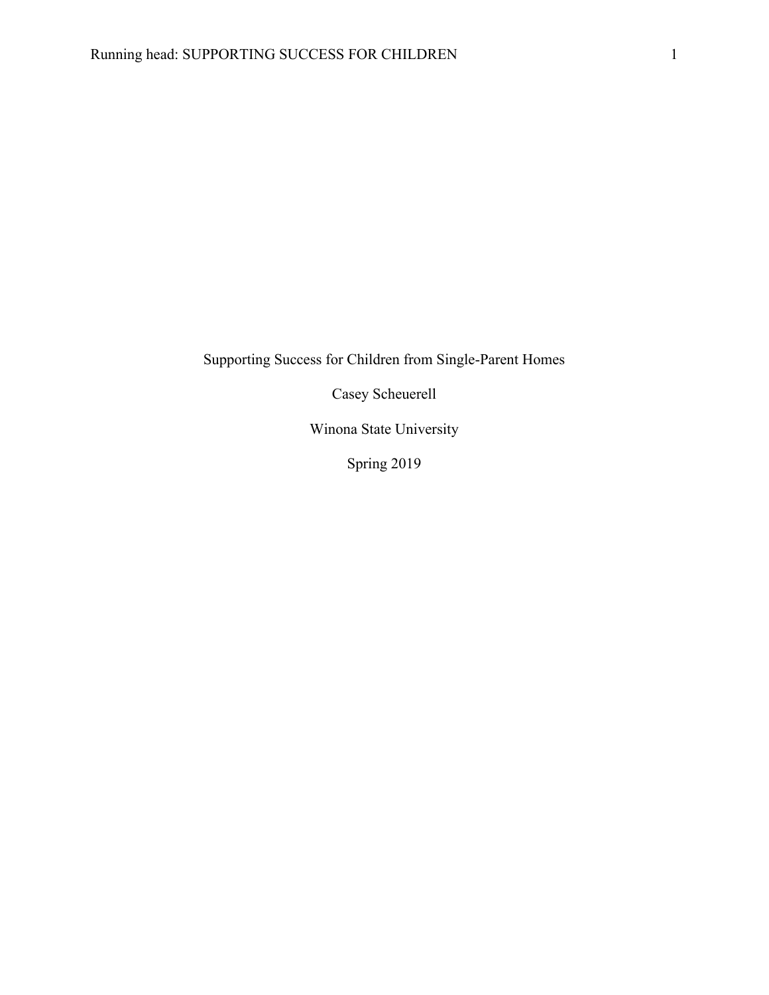Supporting Success for Children from Single-Parent Homes

Casey Scheuerell

Winona State University

Spring 2019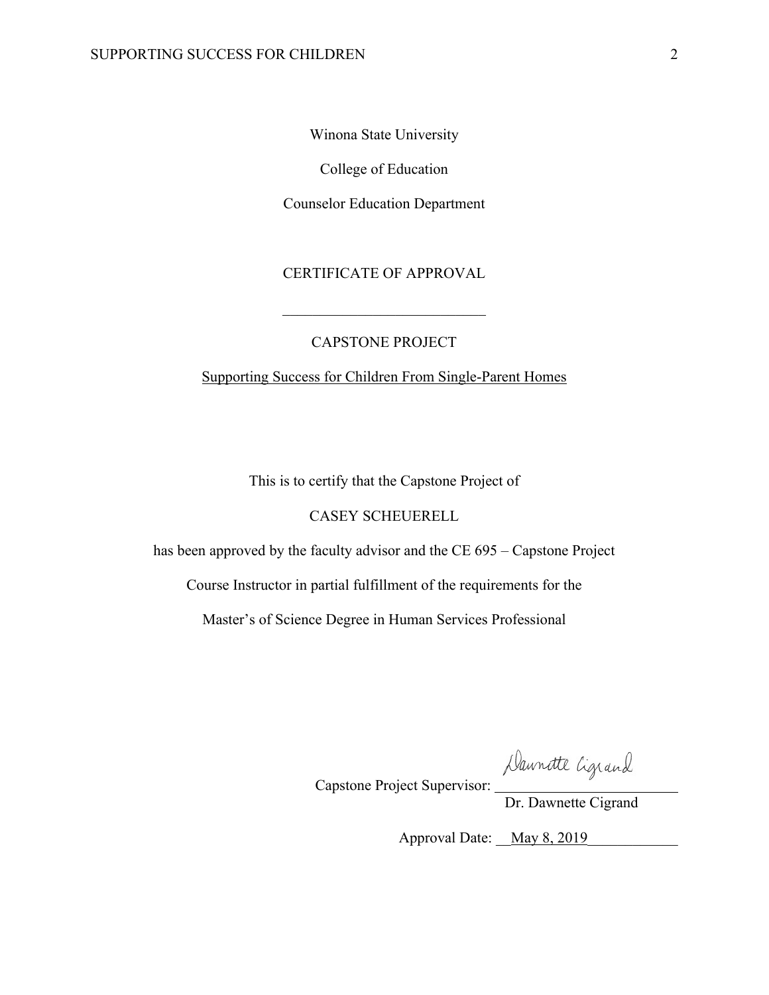Winona State University

College of Education

Counselor Education Department

# CERTIFICATE OF APPROVAL

## CAPSTONE PROJECT

Supporting Success for Children From Single-Parent Homes

This is to certify that the Capstone Project of

#### CASEY SCHEUERELL

has been approved by the faculty advisor and the CE 695 – Capstone Project

Course Instructor in partial fulfillment of the requirements for the

Master's of Science Degree in Human Services Professional

Daunatte Ligrand<br>Dr. Dawnette Cigrand

Capstone Project Supervisor:

Approval Date: May 8, 2019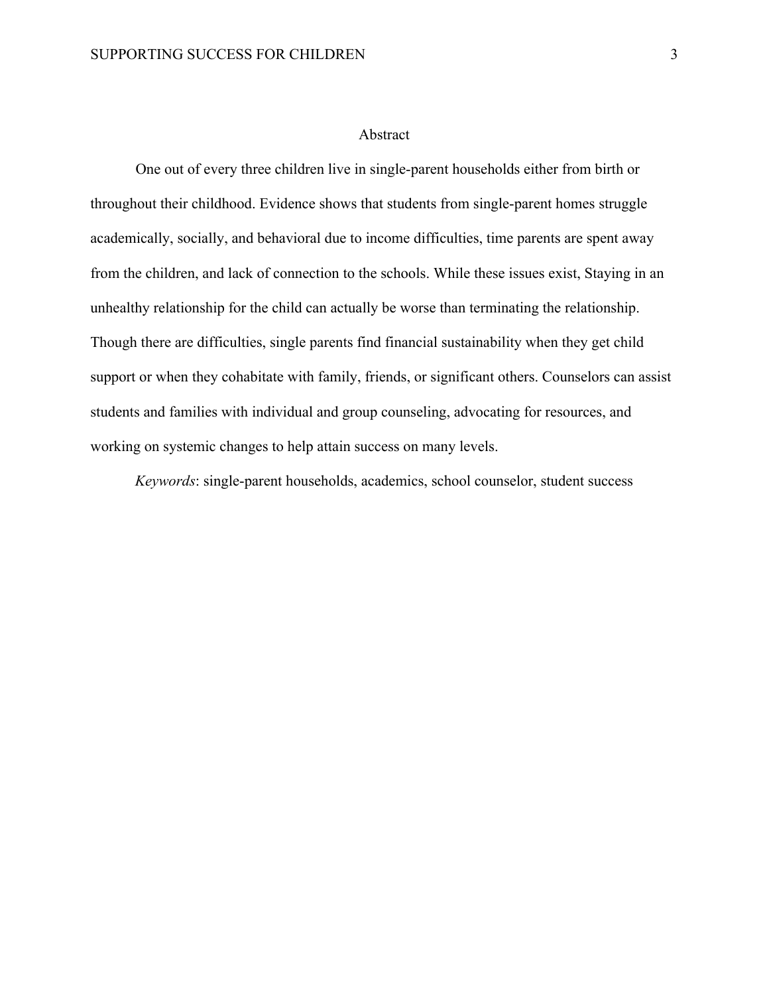#### Abstract

One out of every three children live in single-parent households either from birth or throughout their childhood. Evidence shows that students from single-parent homes struggle academically, socially, and behavioral due to income difficulties, time parents are spent away from the children, and lack of connection to the schools. While these issues exist, Staying in an unhealthy relationship for the child can actually be worse than terminating the relationship. Though there are difficulties, single parents find financial sustainability when they get child support or when they cohabitate with family, friends, or significant others. Counselors can assist students and families with individual and group counseling, advocating for resources, and working on systemic changes to help attain success on many levels.

*Keywords*: single-parent households, academics, school counselor, student success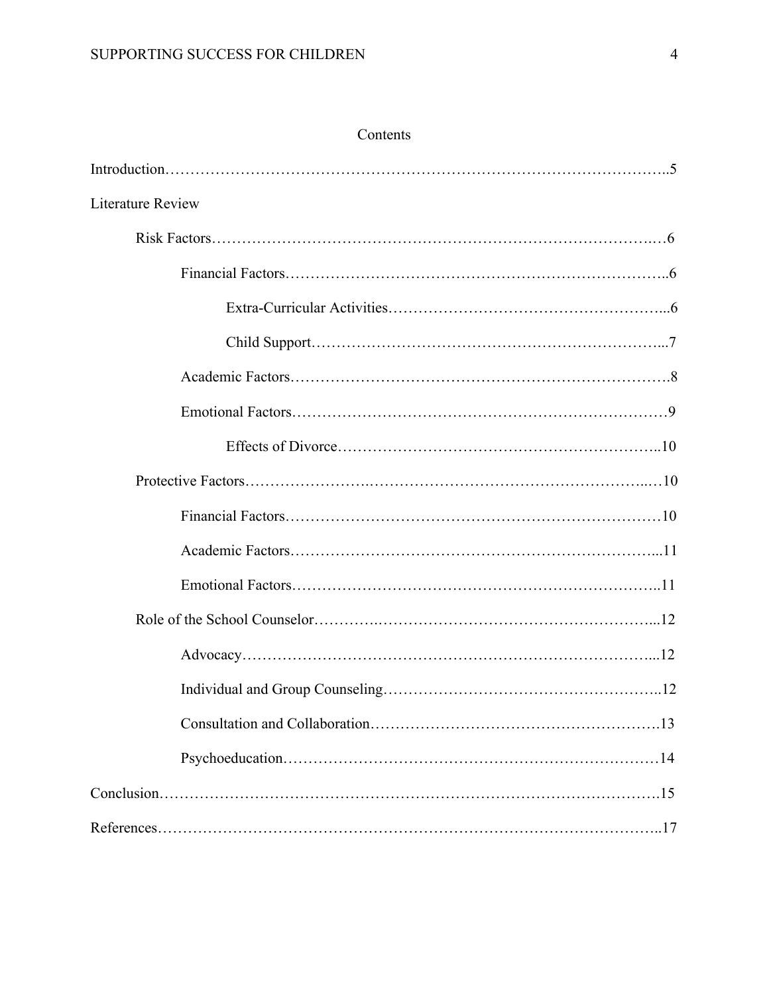| <b>Literature Review</b> |
|--------------------------|
|                          |
|                          |
|                          |
|                          |
|                          |
|                          |
|                          |
|                          |
|                          |
|                          |
|                          |
|                          |
|                          |
|                          |
|                          |
|                          |
|                          |
|                          |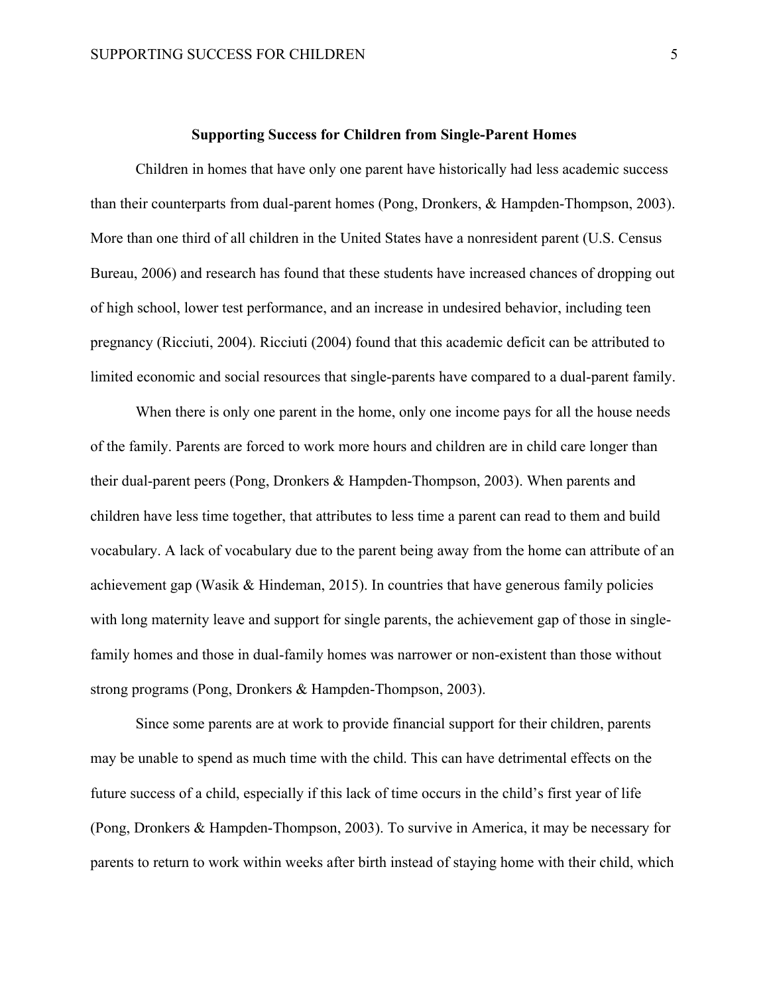#### **Supporting Success for Children from Single-Parent Homes**

Children in homes that have only one parent have historically had less academic success than their counterparts from dual-parent homes (Pong, Dronkers, & Hampden-Thompson, 2003). More than one third of all children in the United States have a nonresident parent (U.S. Census Bureau, 2006) and research has found that these students have increased chances of dropping out of high school, lower test performance, and an increase in undesired behavior, including teen pregnancy (Ricciuti, 2004). Ricciuti (2004) found that this academic deficit can be attributed to limited economic and social resources that single-parents have compared to a dual-parent family.

When there is only one parent in the home, only one income pays for all the house needs of the family. Parents are forced to work more hours and children are in child care longer than their dual-parent peers (Pong, Dronkers & Hampden-Thompson, 2003). When parents and children have less time together, that attributes to less time a parent can read to them and build vocabulary. A lack of vocabulary due to the parent being away from the home can attribute of an achievement gap (Wasik & Hindeman, 2015). In countries that have generous family policies with long maternity leave and support for single parents, the achievement gap of those in singlefamily homes and those in dual-family homes was narrower or non-existent than those without strong programs (Pong, Dronkers & Hampden-Thompson, 2003).

Since some parents are at work to provide financial support for their children, parents may be unable to spend as much time with the child. This can have detrimental effects on the future success of a child, especially if this lack of time occurs in the child's first year of life (Pong, Dronkers & Hampden-Thompson, 2003). To survive in America, it may be necessary for parents to return to work within weeks after birth instead of staying home with their child, which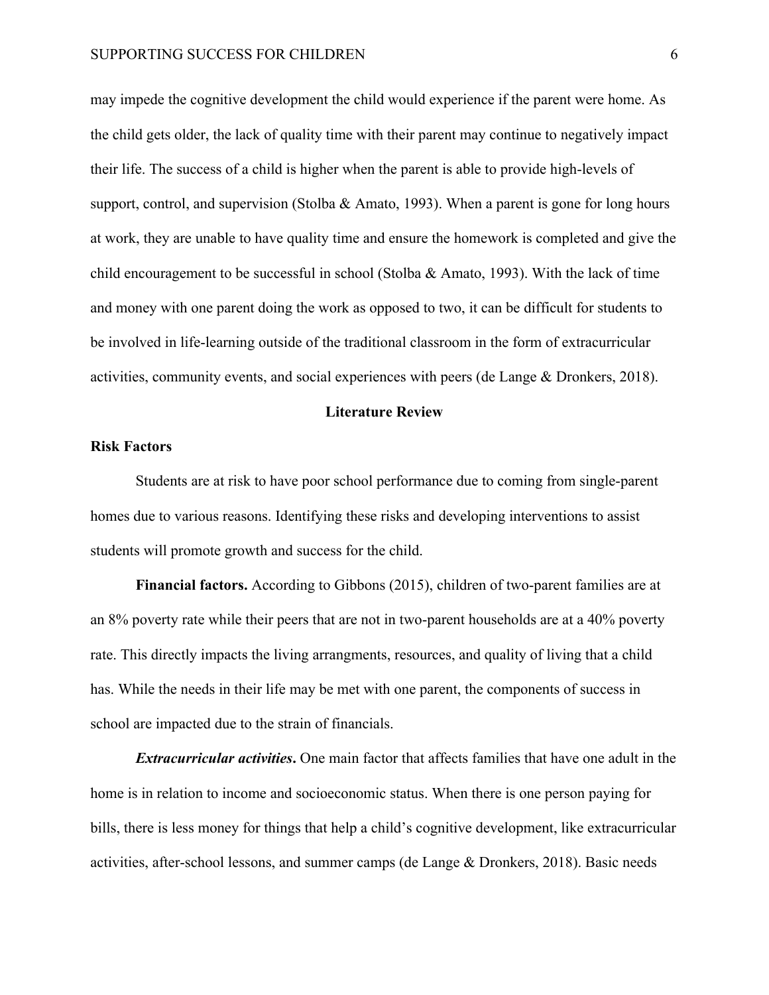may impede the cognitive development the child would experience if the parent were home. As the child gets older, the lack of quality time with their parent may continue to negatively impact their life. The success of a child is higher when the parent is able to provide high-levels of support, control, and supervision (Stolba & Amato, 1993). When a parent is gone for long hours at work, they are unable to have quality time and ensure the homework is completed and give the child encouragement to be successful in school (Stolba  $\&$  Amato, 1993). With the lack of time and money with one parent doing the work as opposed to two, it can be difficult for students to be involved in life-learning outside of the traditional classroom in the form of extracurricular activities, community events, and social experiences with peers (de Lange & Dronkers, 2018).

#### **Literature Review**

#### **Risk Factors**

Students are at risk to have poor school performance due to coming from single-parent homes due to various reasons. Identifying these risks and developing interventions to assist students will promote growth and success for the child.

**Financial factors.** According to Gibbons (2015), children of two-parent families are at an 8% poverty rate while their peers that are not in two-parent households are at a 40% poverty rate. This directly impacts the living arrangments, resources, and quality of living that a child has. While the needs in their life may be met with one parent, the components of success in school are impacted due to the strain of financials.

*Extracurricular activities***.** One main factor that affects families that have one adult in the home is in relation to income and socioeconomic status. When there is one person paying for bills, there is less money for things that help a child's cognitive development, like extracurricular activities, after-school lessons, and summer camps (de Lange & Dronkers, 2018). Basic needs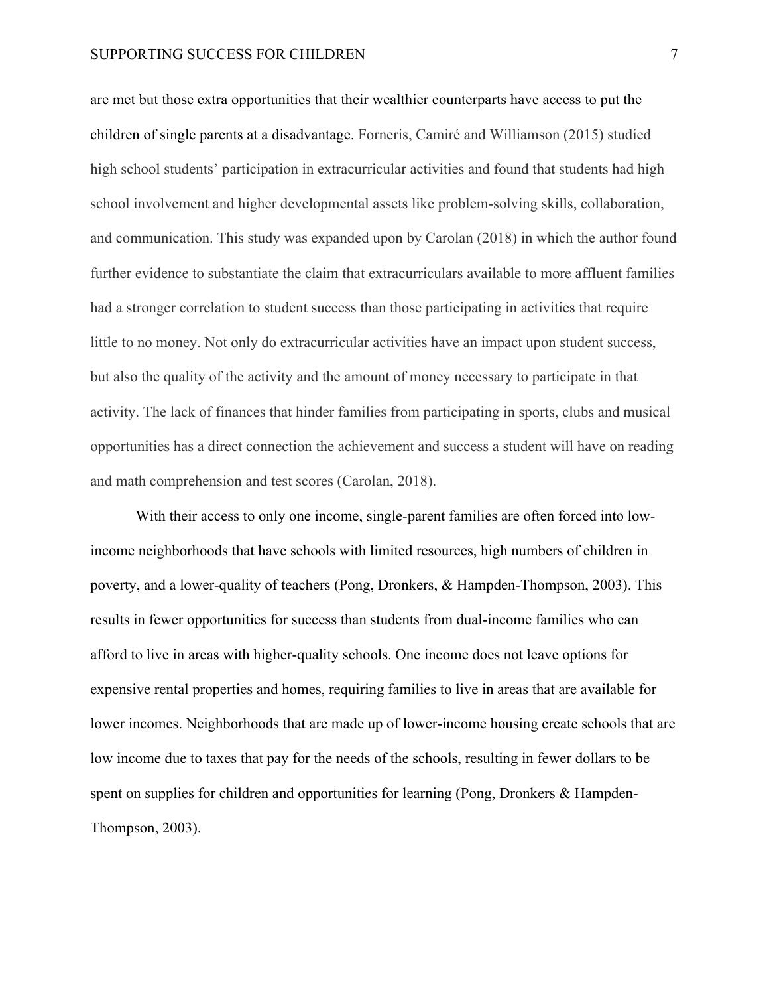#### SUPPORTING SUCCESS FOR CHILDREN 7 7

are met but those extra opportunities that their wealthier counterparts have access to put the children of single parents at a disadvantage. Forneris, Camiré and Williamson (2015) studied high school students' participation in extracurricular activities and found that students had high school involvement and higher developmental assets like problem-solving skills, collaboration, and communication. This study was expanded upon by Carolan (2018) in which the author found further evidence to substantiate the claim that extracurriculars available to more affluent families had a stronger correlation to student success than those participating in activities that require little to no money. Not only do extracurricular activities have an impact upon student success, but also the quality of the activity and the amount of money necessary to participate in that activity. The lack of finances that hinder families from participating in sports, clubs and musical opportunities has a direct connection the achievement and success a student will have on reading and math comprehension and test scores (Carolan, 2018).

With their access to only one income, single-parent families are often forced into lowincome neighborhoods that have schools with limited resources, high numbers of children in poverty, and a lower-quality of teachers (Pong, Dronkers, & Hampden-Thompson, 2003). This results in fewer opportunities for success than students from dual-income families who can afford to live in areas with higher-quality schools. One income does not leave options for expensive rental properties and homes, requiring families to live in areas that are available for lower incomes. Neighborhoods that are made up of lower-income housing create schools that are low income due to taxes that pay for the needs of the schools, resulting in fewer dollars to be spent on supplies for children and opportunities for learning (Pong, Dronkers & Hampden-Thompson, 2003).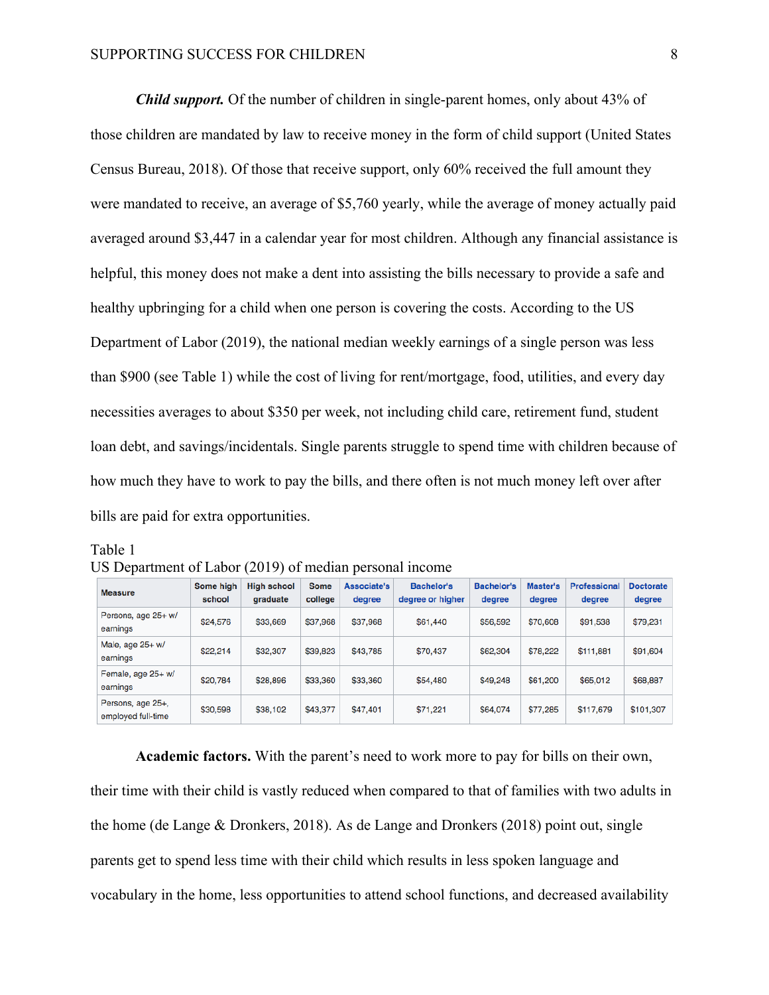*Child support.* Of the number of children in single-parent homes, only about 43% of those children are mandated by law to receive money in the form of child support (United States Census Bureau, 2018). Of those that receive support, only 60% received the full amount they were mandated to receive, an average of \$5,760 yearly, while the average of money actually paid averaged around \$3,447 in a calendar year for most children. Although any financial assistance is helpful, this money does not make a dent into assisting the bills necessary to provide a safe and healthy upbringing for a child when one person is covering the costs. According to the US Department of Labor (2019), the national median weekly earnings of a single person was less than \$900 (see Table 1) while the cost of living for rent/mortgage, food, utilities, and every day necessities averages to about \$350 per week, not including child care, retirement fund, student loan debt, and savings/incidentals. Single parents struggle to spend time with children because of how much they have to work to pay the bills, and there often is not much money left over after bills are paid for extra opportunities.

Table 1

| US Department of Labor (2019) of median personal income |  |  |
|---------------------------------------------------------|--|--|
|---------------------------------------------------------|--|--|

| <b>Measure</b>                          | Some high<br>school | High school<br>graduate | <b>Some</b><br>college | Associate's<br>degree | <b>Bachelor's</b><br>degree or higher | <b>Bachelor's</b><br>degree | Master's<br>degree | Professiona<br>degree | <b>Doctorate</b><br>degree |
|-----------------------------------------|---------------------|-------------------------|------------------------|-----------------------|---------------------------------------|-----------------------------|--------------------|-----------------------|----------------------------|
| Persons, age 25+ w/<br>earnings         | \$24,576            | \$33,669                | \$37,968               | \$37,968              | \$61,440                              | \$56,592                    | \$70,608           | \$91,538              | \$79,231                   |
| Male, age 25+ w/<br>earnings            | \$22,214            | \$32,307                | \$39,823               | \$43,785              | \$70,437                              | \$62,304                    | \$78,222           | \$111,881             | \$91,604                   |
| Female, age 25+ w/<br>earnings          | \$20,784            | \$28,896                | \$33,360               | \$33,360              | \$54,480                              | \$49,248                    | \$61,200           | \$65,012              | \$68,887                   |
| Persons, age 25+,<br>employed full-time | \$30,598            | \$38,102                | \$43,377               | \$47,401              | \$71,221                              | \$64,074                    | \$77.285           | \$117,679             | \$101,307                  |

**Academic factors.** With the parent's need to work more to pay for bills on their own, their time with their child is vastly reduced when compared to that of families with two adults in the home (de Lange & Dronkers, 2018). As de Lange and Dronkers (2018) point out, single parents get to spend less time with their child which results in less spoken language and vocabulary in the home, less opportunities to attend school functions, and decreased availability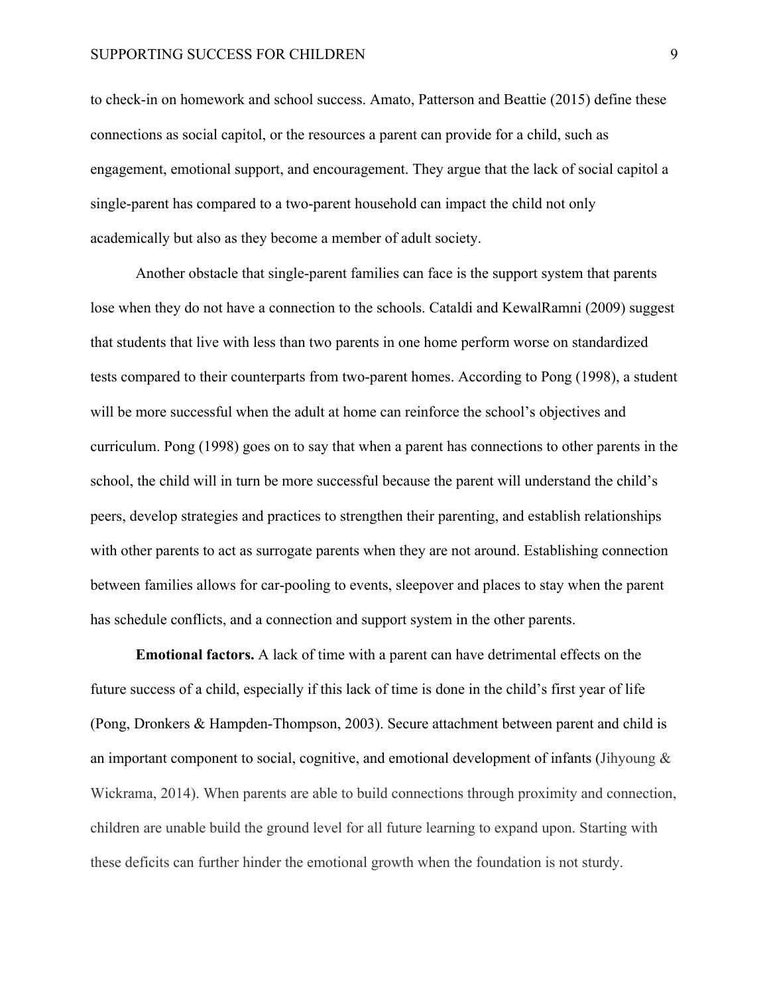#### SUPPORTING SUCCESS FOR CHILDREN 9

to check-in on homework and school success. Amato, Patterson and Beattie (2015) define these connections as social capitol, or the resources a parent can provide for a child, such as engagement, emotional support, and encouragement. They argue that the lack of social capitol a single-parent has compared to a two-parent household can impact the child not only academically but also as they become a member of adult society.

Another obstacle that single-parent families can face is the support system that parents lose when they do not have a connection to the schools. Cataldi and KewalRamni (2009) suggest that students that live with less than two parents in one home perform worse on standardized tests compared to their counterparts from two-parent homes. According to Pong (1998), a student will be more successful when the adult at home can reinforce the school's objectives and curriculum. Pong (1998) goes on to say that when a parent has connections to other parents in the school, the child will in turn be more successful because the parent will understand the child's peers, develop strategies and practices to strengthen their parenting, and establish relationships with other parents to act as surrogate parents when they are not around. Establishing connection between families allows for car-pooling to events, sleepover and places to stay when the parent has schedule conflicts, and a connection and support system in the other parents.

**Emotional factors.** A lack of time with a parent can have detrimental effects on the future success of a child, especially if this lack of time is done in the child's first year of life (Pong, Dronkers & Hampden-Thompson, 2003). Secure attachment between parent and child is an important component to social, cognitive, and emotional development of infants (Jihyoung  $\&$ Wickrama, 2014). When parents are able to build connections through proximity and connection, children are unable build the ground level for all future learning to expand upon. Starting with these deficits can further hinder the emotional growth when the foundation is not sturdy.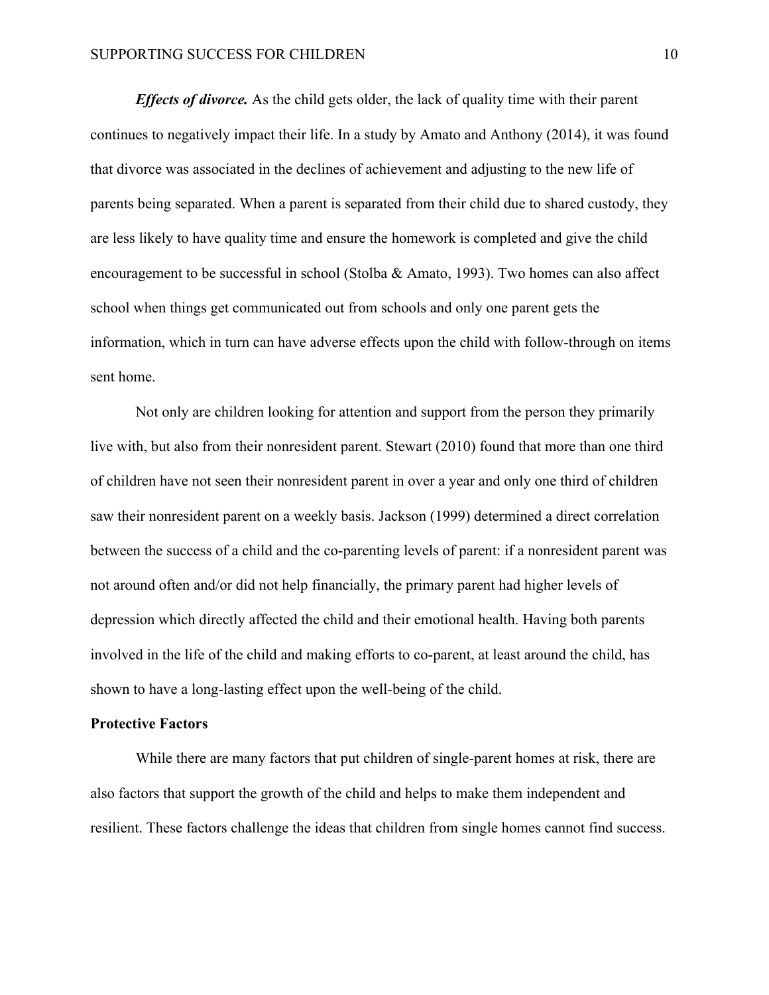*Effects of divorce.* As the child gets older, the lack of quality time with their parent continues to negatively impact their life. In a study by Amato and Anthony (2014), it was found that divorce was associated in the declines of achievement and adjusting to the new life of parents being separated. When a parent is separated from their child due to shared custody, they are less likely to have quality time and ensure the homework is completed and give the child encouragement to be successful in school (Stolba & Amato, 1993). Two homes can also affect school when things get communicated out from schools and only one parent gets the information, which in turn can have adverse effects upon the child with follow-through on items sent home.

Not only are children looking for attention and support from the person they primarily live with, but also from their nonresident parent. Stewart (2010) found that more than one third of children have not seen their nonresident parent in over a year and only one third of children saw their nonresident parent on a weekly basis. Jackson (1999) determined a direct correlation between the success of a child and the co-parenting levels of parent: if a nonresident parent was not around often and/or did not help financially, the primary parent had higher levels of depression which directly affected the child and their emotional health. Having both parents involved in the life of the child and making efforts to co-parent, at least around the child, has shown to have a long-lasting effect upon the well-being of the child.

#### **Protective Factors**

While there are many factors that put children of single-parent homes at risk, there are also factors that support the growth of the child and helps to make them independent and resilient. These factors challenge the ideas that children from single homes cannot find success.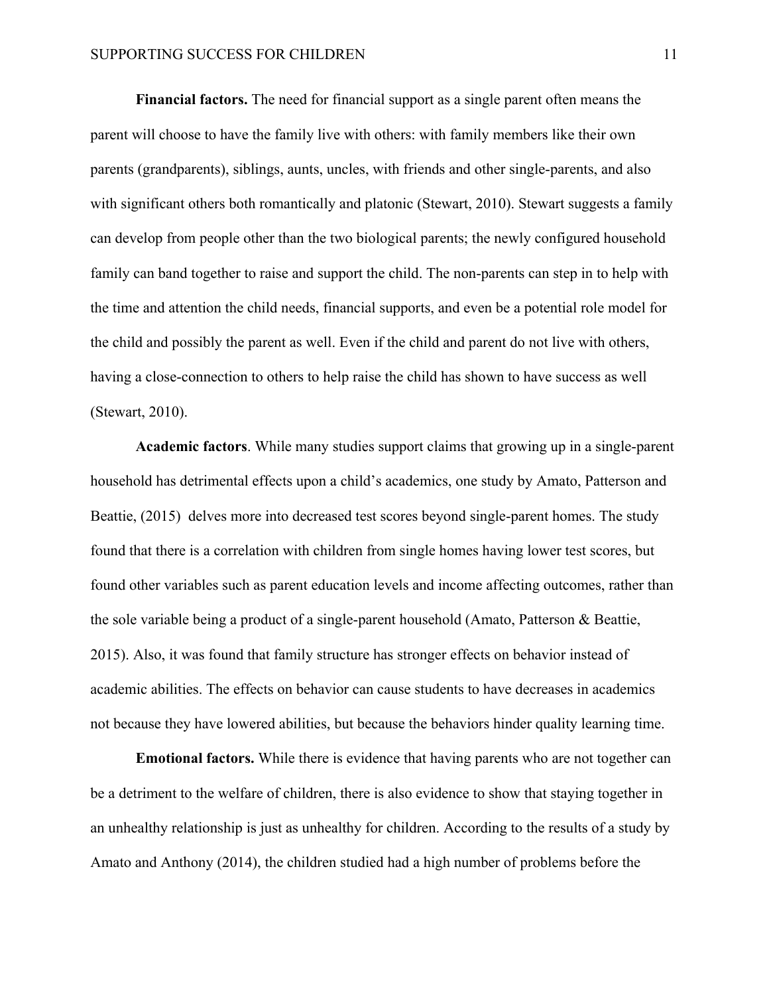**Financial factors.** The need for financial support as a single parent often means the parent will choose to have the family live with others: with family members like their own parents (grandparents), siblings, aunts, uncles, with friends and other single-parents, and also with significant others both romantically and platonic (Stewart, 2010). Stewart suggests a family can develop from people other than the two biological parents; the newly configured household family can band together to raise and support the child. The non-parents can step in to help with the time and attention the child needs, financial supports, and even be a potential role model for the child and possibly the parent as well. Even if the child and parent do not live with others, having a close-connection to others to help raise the child has shown to have success as well (Stewart, 2010).

**Academic factors**. While many studies support claims that growing up in a single-parent household has detrimental effects upon a child's academics, one study by Amato, Patterson and Beattie, (2015) delves more into decreased test scores beyond single-parent homes. The study found that there is a correlation with children from single homes having lower test scores, but found other variables such as parent education levels and income affecting outcomes, rather than the sole variable being a product of a single-parent household (Amato, Patterson & Beattie, 2015). Also, it was found that family structure has stronger effects on behavior instead of academic abilities. The effects on behavior can cause students to have decreases in academics not because they have lowered abilities, but because the behaviors hinder quality learning time.

**Emotional factors.** While there is evidence that having parents who are not together can be a detriment to the welfare of children, there is also evidence to show that staying together in an unhealthy relationship is just as unhealthy for children. According to the results of a study by Amato and Anthony (2014), the children studied had a high number of problems before the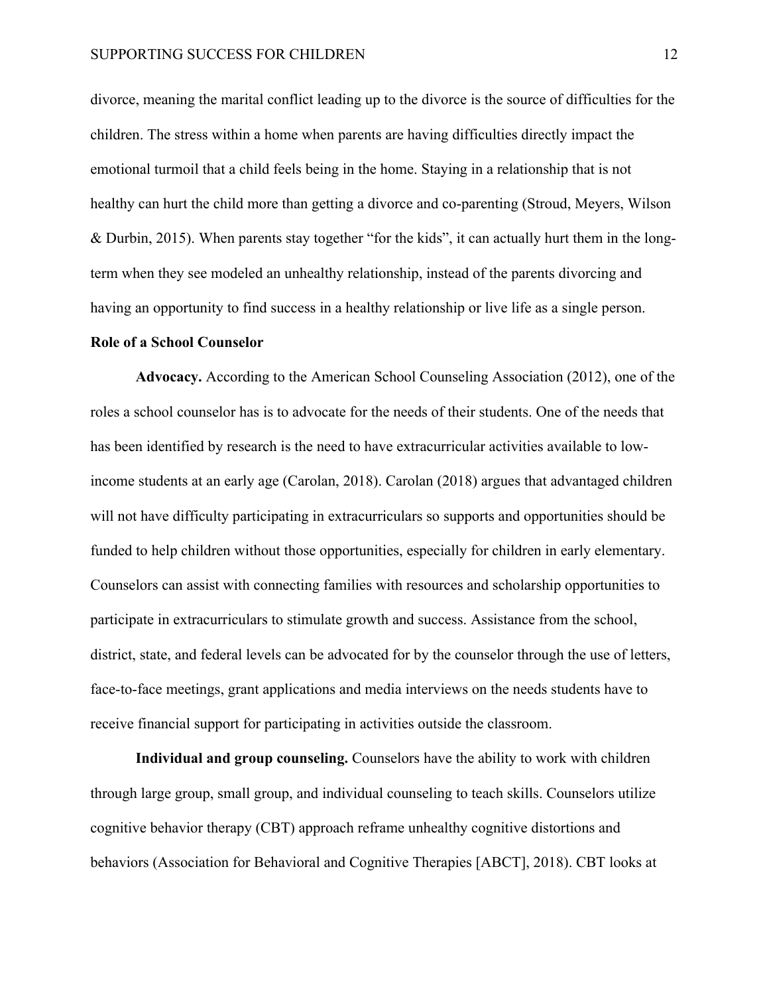divorce, meaning the marital conflict leading up to the divorce is the source of difficulties for the children. The stress within a home when parents are having difficulties directly impact the emotional turmoil that a child feels being in the home. Staying in a relationship that is not healthy can hurt the child more than getting a divorce and co-parenting (Stroud, Meyers, Wilson & Durbin, 2015). When parents stay together "for the kids", it can actually hurt them in the longterm when they see modeled an unhealthy relationship, instead of the parents divorcing and having an opportunity to find success in a healthy relationship or live life as a single person.

#### **Role of a School Counselor**

**Advocacy.** According to the American School Counseling Association (2012), one of the roles a school counselor has is to advocate for the needs of their students. One of the needs that has been identified by research is the need to have extracurricular activities available to lowincome students at an early age (Carolan, 2018). Carolan (2018) argues that advantaged children will not have difficulty participating in extracurriculars so supports and opportunities should be funded to help children without those opportunities, especially for children in early elementary. Counselors can assist with connecting families with resources and scholarship opportunities to participate in extracurriculars to stimulate growth and success. Assistance from the school, district, state, and federal levels can be advocated for by the counselor through the use of letters, face-to-face meetings, grant applications and media interviews on the needs students have to receive financial support for participating in activities outside the classroom.

**Individual and group counseling.** Counselors have the ability to work with children through large group, small group, and individual counseling to teach skills. Counselors utilize cognitive behavior therapy (CBT) approach reframe unhealthy cognitive distortions and behaviors (Association for Behavioral and Cognitive Therapies [ABCT], 2018). CBT looks at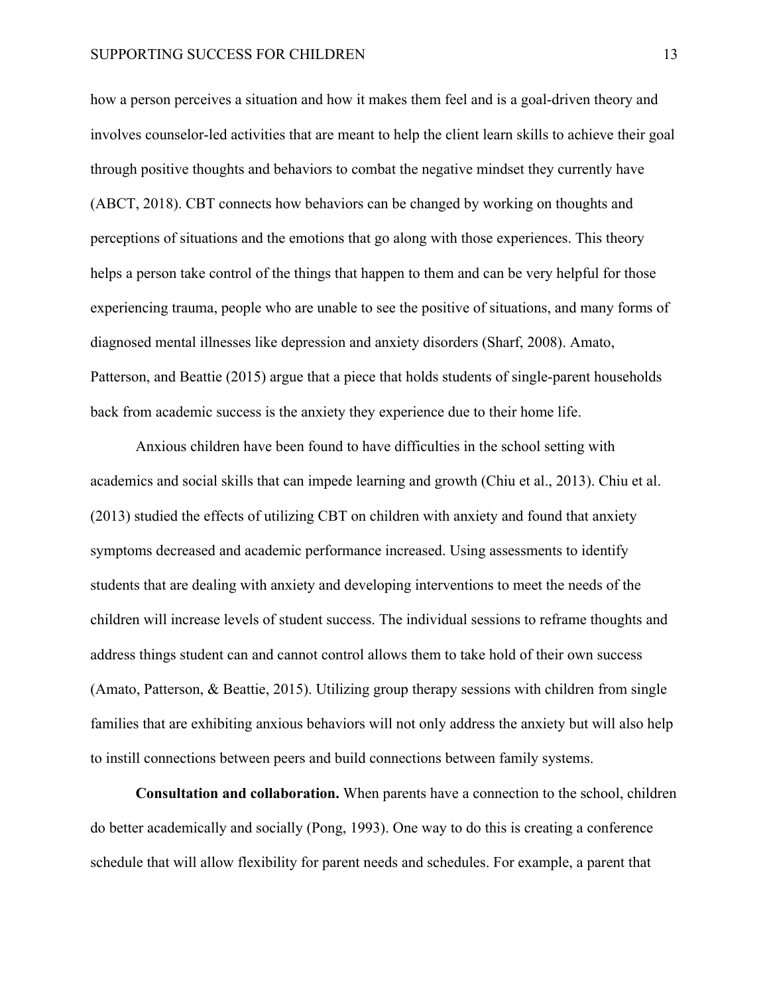how a person perceives a situation and how it makes them feel and is a goal-driven theory and involves counselor-led activities that are meant to help the client learn skills to achieve their goal through positive thoughts and behaviors to combat the negative mindset they currently have (ABCT, 2018). CBT connects how behaviors can be changed by working on thoughts and perceptions of situations and the emotions that go along with those experiences. This theory helps a person take control of the things that happen to them and can be very helpful for those experiencing trauma, people who are unable to see the positive of situations, and many forms of diagnosed mental illnesses like depression and anxiety disorders (Sharf, 2008). Amato, Patterson, and Beattie (2015) argue that a piece that holds students of single-parent households back from academic success is the anxiety they experience due to their home life.

Anxious children have been found to have difficulties in the school setting with academics and social skills that can impede learning and growth (Chiu et al., 2013). Chiu et al. (2013) studied the effects of utilizing CBT on children with anxiety and found that anxiety symptoms decreased and academic performance increased. Using assessments to identify students that are dealing with anxiety and developing interventions to meet the needs of the children will increase levels of student success. The individual sessions to reframe thoughts and address things student can and cannot control allows them to take hold of their own success (Amato, Patterson, & Beattie, 2015). Utilizing group therapy sessions with children from single families that are exhibiting anxious behaviors will not only address the anxiety but will also help to instill connections between peers and build connections between family systems.

**Consultation and collaboration.** When parents have a connection to the school, children do better academically and socially (Pong, 1993). One way to do this is creating a conference schedule that will allow flexibility for parent needs and schedules. For example, a parent that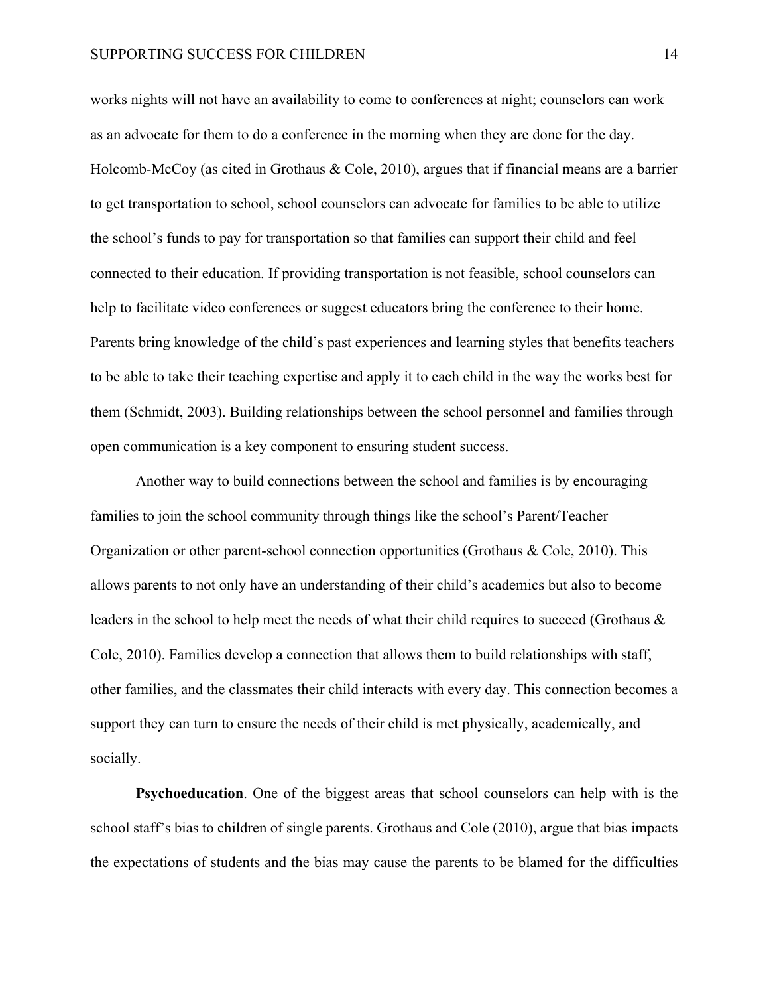works nights will not have an availability to come to conferences at night; counselors can work as an advocate for them to do a conference in the morning when they are done for the day. Holcomb-McCoy (as cited in Grothaus & Cole, 2010), argues that if financial means are a barrier to get transportation to school, school counselors can advocate for families to be able to utilize the school's funds to pay for transportation so that families can support their child and feel connected to their education. If providing transportation is not feasible, school counselors can help to facilitate video conferences or suggest educators bring the conference to their home. Parents bring knowledge of the child's past experiences and learning styles that benefits teachers to be able to take their teaching expertise and apply it to each child in the way the works best for them (Schmidt, 2003). Building relationships between the school personnel and families through open communication is a key component to ensuring student success.

Another way to build connections between the school and families is by encouraging families to join the school community through things like the school's Parent/Teacher Organization or other parent-school connection opportunities (Grothaus & Cole, 2010). This allows parents to not only have an understanding of their child's academics but also to become leaders in the school to help meet the needs of what their child requires to succeed (Grothaus & Cole, 2010). Families develop a connection that allows them to build relationships with staff, other families, and the classmates their child interacts with every day. This connection becomes a support they can turn to ensure the needs of their child is met physically, academically, and socially.

**Psychoeducation**. One of the biggest areas that school counselors can help with is the school staff's bias to children of single parents. Grothaus and Cole (2010), argue that bias impacts the expectations of students and the bias may cause the parents to be blamed for the difficulties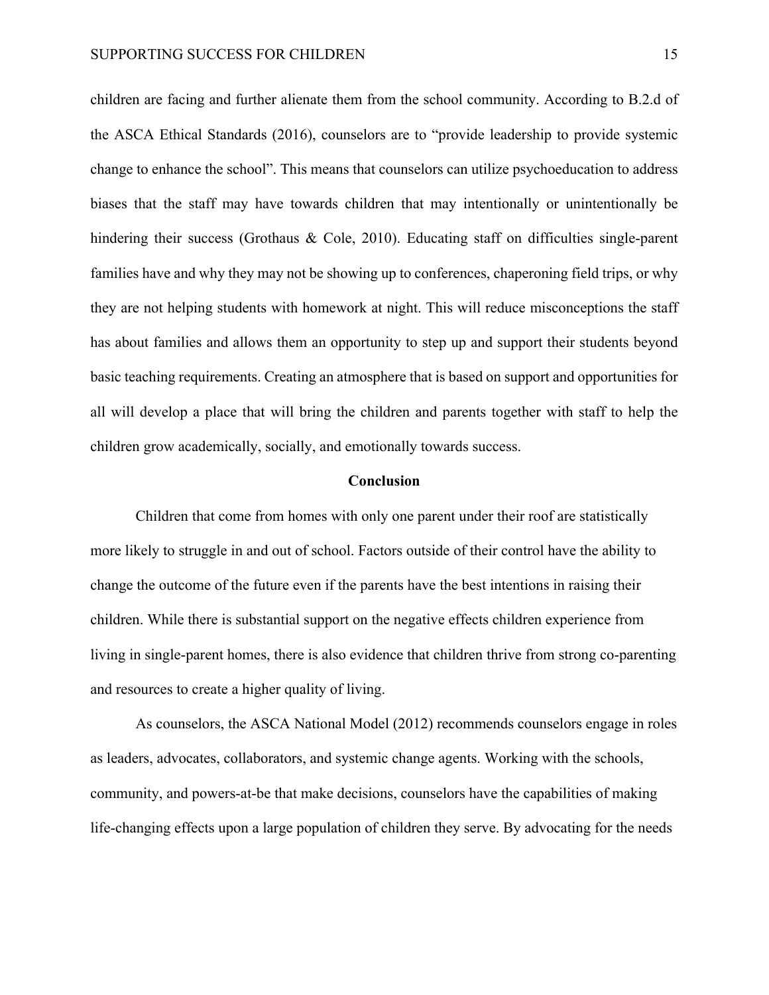children are facing and further alienate them from the school community. According to B.2.d of the ASCA Ethical Standards (2016), counselors are to "provide leadership to provide systemic change to enhance the school". This means that counselors can utilize psychoeducation to address biases that the staff may have towards children that may intentionally or unintentionally be hindering their success (Grothaus & Cole, 2010). Educating staff on difficulties single-parent families have and why they may not be showing up to conferences, chaperoning field trips, or why they are not helping students with homework at night. This will reduce misconceptions the staff has about families and allows them an opportunity to step up and support their students beyond basic teaching requirements. Creating an atmosphere that is based on support and opportunities for all will develop a place that will bring the children and parents together with staff to help the children grow academically, socially, and emotionally towards success.

#### **Conclusion**

Children that come from homes with only one parent under their roof are statistically more likely to struggle in and out of school. Factors outside of their control have the ability to change the outcome of the future even if the parents have the best intentions in raising their children. While there is substantial support on the negative effects children experience from living in single-parent homes, there is also evidence that children thrive from strong co-parenting and resources to create a higher quality of living.

As counselors, the ASCA National Model (2012) recommends counselors engage in roles as leaders, advocates, collaborators, and systemic change agents. Working with the schools, community, and powers-at-be that make decisions, counselors have the capabilities of making life-changing effects upon a large population of children they serve. By advocating for the needs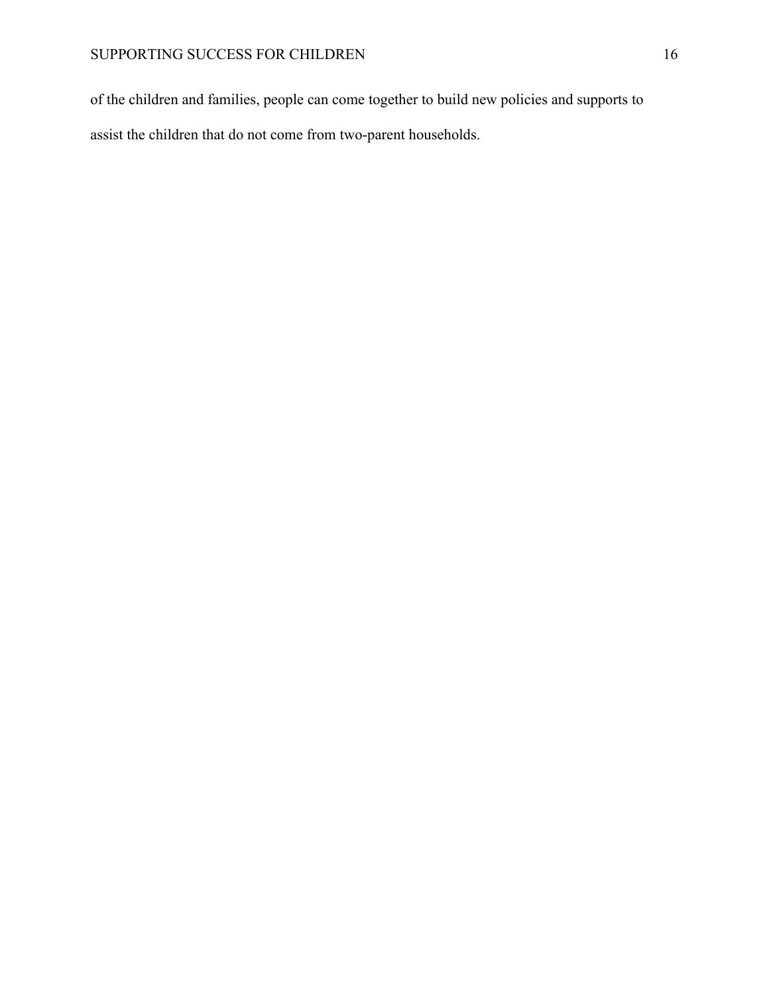of the children and families, people can come together to build new policies and supports to assist the children that do not come from two-parent households.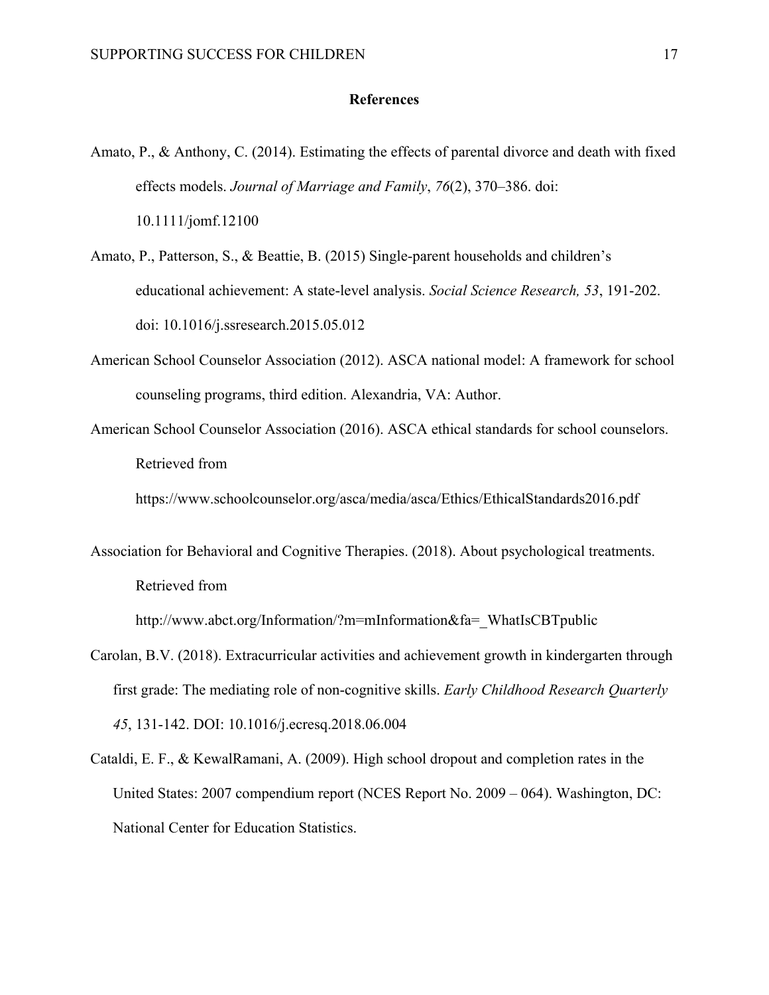### **References**

- Amato, P., & Anthony, C. (2014). Estimating the effects of parental divorce and death with fixed effects models. *Journal of Marriage and Family*, *76*(2), 370–386. doi: 10.1111/jomf.12100
- Amato, P., Patterson, S., & Beattie, B. (2015) Single-parent households and children's educational achievement: A state-level analysis. *Social Science Research, 53*, 191-202. doi: 10.1016/j.ssresearch.2015.05.012
- American School Counselor Association (2012). ASCA national model: A framework for school counseling programs, third edition. Alexandria, VA: Author.
- American School Counselor Association (2016). ASCA ethical standards for school counselors. Retrieved from

https://www.schoolcounselor.org/asca/media/asca/Ethics/EthicalStandards2016.pdf

Association for Behavioral and Cognitive Therapies. (2018). About psychological treatments. Retrieved from

http://www.abct.org/Information/?m=mInformation&fa=\_WhatIsCBTpublic

- Carolan, B.V. (2018). Extracurricular activities and achievement growth in kindergarten through first grade: The mediating role of non-cognitive skills. *Early Childhood Research Quarterly 45*, 131-142. DOI: 10.1016/j.ecresq.2018.06.004
- Cataldi, E. F., & KewalRamani, A. (2009). High school dropout and completion rates in the United States: 2007 compendium report (NCES Report No. 2009 – 064). Washington, DC: National Center for Education Statistics.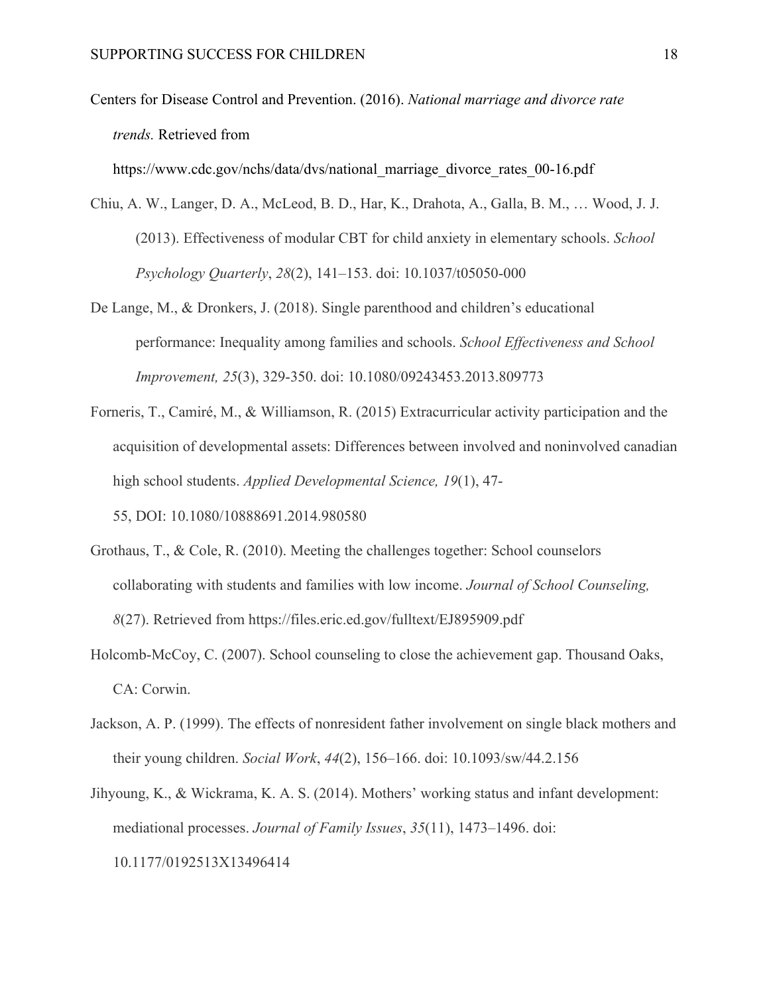Centers for Disease Control and Prevention. (2016). *National marriage and divorce rate trends.* Retrieved from

https://www.cdc.gov/nchs/data/dvs/national\_marriage\_divorce\_rates\_00-16.pdf

- Chiu, A. W., Langer, D. A., McLeod, B. D., Har, K., Drahota, A., Galla, B. M., … Wood, J. J. (2013). Effectiveness of modular CBT for child anxiety in elementary schools. *School Psychology Quarterly*, *28*(2), 141–153. doi: 10.1037/t05050-000
- De Lange, M., & Dronkers, J. (2018). Single parenthood and children's educational performance: Inequality among families and schools. *School Effectiveness and School Improvement, 25*(3), 329-350. doi: 10.1080/09243453.2013.809773
- Forneris, T., Camiré, M., & Williamson, R. (2015) Extracurricular activity participation and the acquisition of developmental assets: Differences between involved and noninvolved canadian high school students. *Applied Developmental Science, 19*(1), 47-

55, DOI: 10.1080/10888691.2014.980580

- Grothaus, T., & Cole, R. (2010). Meeting the challenges together: School counselors collaborating with students and families with low income. *Journal of School Counseling, 8*(27). Retrieved from https://files.eric.ed.gov/fulltext/EJ895909.pdf
- Holcomb-McCoy, C. (2007). School counseling to close the achievement gap. Thousand Oaks, CA: Corwin.
- Jackson, A. P. (1999). The effects of nonresident father involvement on single black mothers and their young children. *Social Work*, *44*(2), 156–166. doi: 10.1093/sw/44.2.156
- Jihyoung, K., & Wickrama, K. A. S. (2014). Mothers' working status and infant development: mediational processes. *Journal of Family Issues*, *35*(11), 1473–1496. doi: 10.1177/0192513X13496414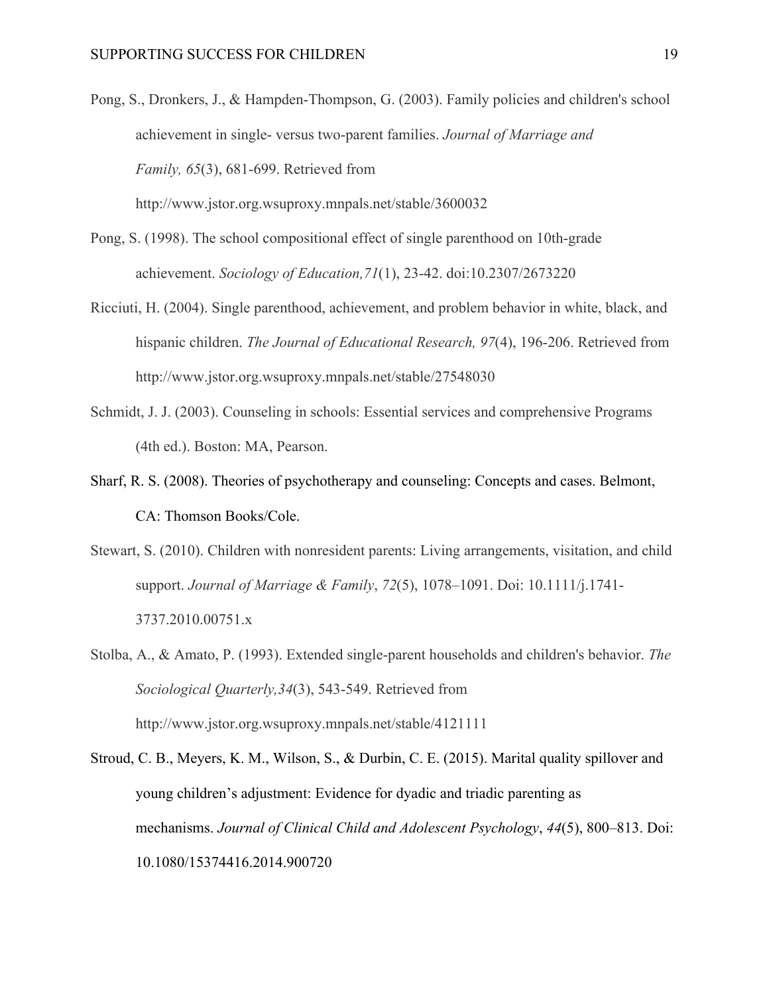- Pong, S., Dronkers, J., & Hampden-Thompson, G. (2003). Family policies and children's school achievement in single- versus two-parent families. *Journal of Marriage and Family, 65*(3), 681-699. Retrieved from http://www.jstor.org.wsuproxy.mnpals.net/stable/3600032
- Pong, S. (1998). The school compositional effect of single parenthood on 10th-grade achievement. *Sociology of Education,71*(1), 23-42. doi:10.2307/2673220
- Ricciuti, H. (2004). Single parenthood, achievement, and problem behavior in white, black, and hispanic children. *The Journal of Educational Research, 97*(4), 196-206. Retrieved from http://www.jstor.org.wsuproxy.mnpals.net/stable/27548030
- Schmidt, J. J. (2003). Counseling in schools: Essential services and comprehensive Programs (4th ed.). Boston: MA, Pearson.
- Sharf, R. S. (2008). Theories of psychotherapy and counseling: Concepts and cases. Belmont, CA: Thomson Books/Cole.
- Stewart, S. (2010). Children with nonresident parents: Living arrangements, visitation, and child support. *Journal of Marriage & Family*, *72*(5), 1078–1091. Doi: 10.1111/j.1741- 3737.2010.00751.x
- Stolba, A., & Amato, P. (1993). Extended single-parent households and children's behavior. *The Sociological Quarterly,34*(3), 543-549. Retrieved from http://www.jstor.org.wsuproxy.mnpals.net/stable/4121111
- Stroud, C. B., Meyers, K. M., Wilson, S., & Durbin, C. E. (2015). Marital quality spillover and young children's adjustment: Evidence for dyadic and triadic parenting as mechanisms. *Journal of Clinical Child and Adolescent Psychology*, *44*(5), 800–813. Doi: 10.1080/15374416.2014.900720